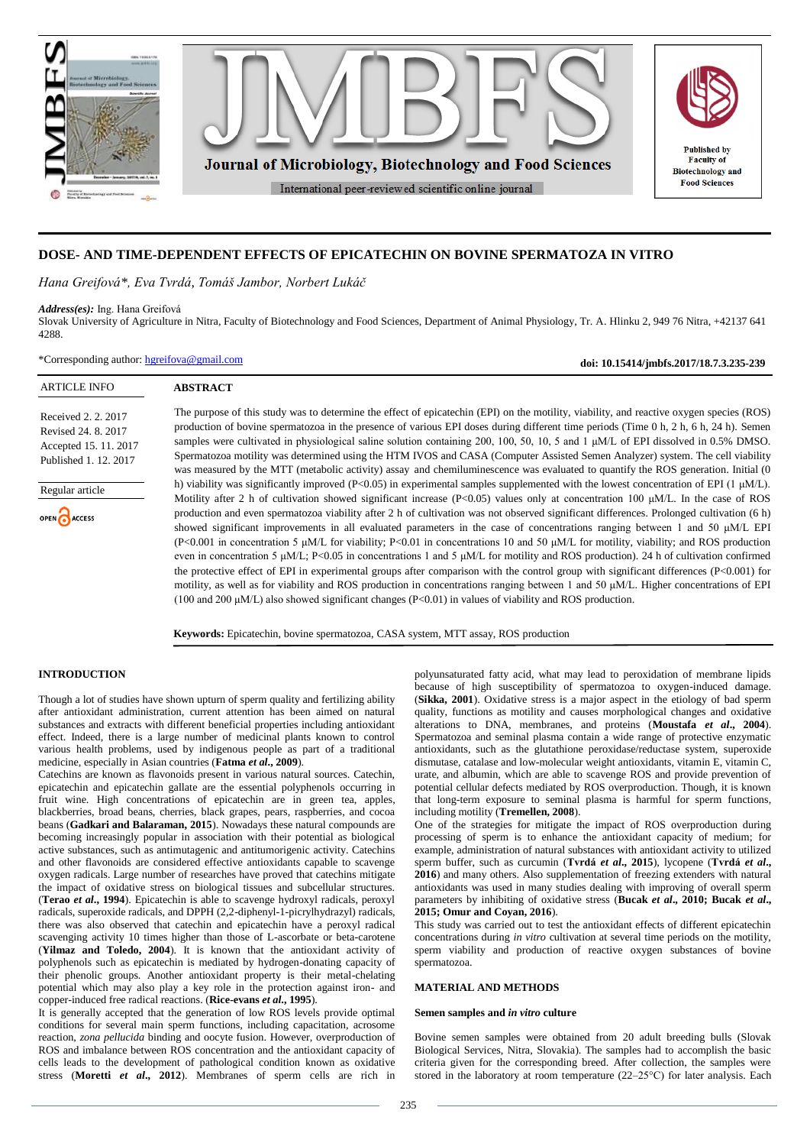

# **DOSE- AND TIME-DEPENDENT EFFECTS OF EPICATECHIN ON BOVINE SPERMATOZA IN VITRO**

*Hana Greifová\*, Eva Tvrdá, Tomáš Jambor, Norbert Lukáč*

#### *Address(es):* Ing. Hana Greifová

Slovak University of Agriculture in Nitra, Faculty of Biotechnology and Food Sciences, Department of Animal Physiology, Tr. A. Hlinku 2, 949 76 Nitra, +42137 641 4288.

\*Corresponding author: [hgreifova@gmail.com](mailto:hgreifova@gmail.com)

**doi: 10.15414/jmbfs.2017/18.7.3.235-239**

| <b>ARTICLE INFO</b>                                                                          | <b>ABSTRACT</b>                                                                                                                                                                                                                                                                                                                                                                                                                                                                                                                                                                                                                                                                                                                                                                                                                                                                                                                                                                                                                                                                                                                                         |
|----------------------------------------------------------------------------------------------|---------------------------------------------------------------------------------------------------------------------------------------------------------------------------------------------------------------------------------------------------------------------------------------------------------------------------------------------------------------------------------------------------------------------------------------------------------------------------------------------------------------------------------------------------------------------------------------------------------------------------------------------------------------------------------------------------------------------------------------------------------------------------------------------------------------------------------------------------------------------------------------------------------------------------------------------------------------------------------------------------------------------------------------------------------------------------------------------------------------------------------------------------------|
| Received 2, 2, 2017<br>Revised 24, 8, 2017<br>Accepted 15, 11, 2017<br>Published 1, 12, 2017 | The purpose of this study was to determine the effect of epicatechin (EPI) on the motility, viability, and reactive oxygen species (ROS)<br>production of bovine spermatozoa in the presence of various EPI doses during different time periods (Time 0 h, 2 h, 6 h, 24 h). Semen<br>samples were cultivated in physiological saline solution containing 200, 100, 50, 10, 5 and 1 µM/L of EPI dissolved in 0.5% DMSO.<br>Spermatozoa motility was determined using the HTM IVOS and CASA (Computer Assisted Semen Analyzer) system. The cell viability<br>was measured by the MTT (metabolic activity) assay and chemiluminescence was evaluated to quantify the ROS generation. Initial (0)                                                                                                                                                                                                                                                                                                                                                                                                                                                           |
| Regular article<br>OPEN ACCESS                                                               | h) viability was significantly improved (P<0.05) in experimental samples supplemented with the lowest concentration of EPI (1 $\mu$ M/L).<br>Motility after 2 h of cultivation showed significant increase $(P<0.05)$ values only at concentration 100 µM/L. In the case of ROS<br>production and even spermatozoa viability after 2 h of cultivation was not observed significant differences. Prolonged cultivation (6 h)<br>showed significant improvements in all evaluated parameters in the case of concentrations ranging between 1 and 50 $\mu$ M/L EPI<br>$(P< 0.001$ in concentration 5 $\mu$ M/L for viability; P<0.01 in concentrations 10 and 50 $\mu$ M/L for motility, viability; and ROS production<br>even in concentration 5 $\mu$ M/L; P<0.05 in concentrations 1 and 5 $\mu$ M/L for motility and ROS production). 24 h of cultivation confirmed<br>the protective effect of EPI in experimental groups after comparison with the control group with significant differences $(P<0.001)$ for<br>motility, as well as for viability and ROS production in concentrations ranging between 1 and 50 µM/L. Higher concentrations of EPI |

**Keywords:** Epicatechin, bovine spermatozoa, CASA system, MTT assay, ROS production

# **INTRODUCTION**

Though a lot of studies have shown upturn of sperm quality and fertilizing ability after antioxidant administration, current attention has been aimed on natural substances and extracts with different beneficial properties including antioxidant effect. Indeed, there is a large number of medicinal plants known to control various health problems, used by indigenous people as part of a traditional medicine, especially in Asian countries (**Fatma** *et al***., 2009**).

Catechins are known as flavonoids present in various natural sources. Catechin, epicatechin and epicatechin gallate are the essential polyphenols occurring in fruit wine. High concentrations of epicatechin are in green tea, apples, blackberries, broad beans, cherries, black grapes, pears, raspberries, and cocoa beans (**Gadkari and Balaraman, 2015**). Nowadays these natural compounds are becoming increasingly popular in association with their potential as biological active substances, such as antimutagenic and antitumorigenic activity. Catechins and other flavonoids are considered effective antioxidants capable to scavenge oxygen radicals. Large number of researches have proved that catechins mitigate the impact of oxidative stress on biological tissues and subcellular structures. (**Terao** *et al***., 1994**). Epicatechin is able to scavenge hydroxyl radicals, peroxyl radicals, superoxide radicals, and DPPH (2,2-diphenyl-1-picrylhydrazyl) radicals, there was also observed that catechin and epicatechin have a peroxyl radical scavenging activity 10 times higher than those of L-ascorbate or beta-carotene (**Yilmaz and Toledo, 2004**). It is known that the antioxidant activity of polyphenols such as epicatechin is mediated by hydrogen-donating capacity of their phenolic groups. Another antioxidant property is their metal-chelating potential which may also play a key role in the protection against iron- and copper-induced free radical reactions. (**Rice-evans** *et al***., 1995**).

It is generally accepted that the generation of low ROS levels provide optimal conditions for several main sperm functions, including capacitation, acrosome reaction, *zona pellucida* binding and oocyte fusion. However, overproduction of ROS and imbalance between ROS concentration and the antioxidant capacity of cells leads to the development of pathological condition known as oxidative stress (**Moretti** *et al***., 2012**). Membranes of sperm cells are rich in

polyunsaturated fatty acid, what may lead to peroxidation of membrane lipids because of high susceptibility of spermatozoa to oxygen-induced damage. (**Sikka, 2001**). Oxidative stress is a major aspect in the etiology of bad sperm quality, functions as motility and causes morphological changes and oxidative alterations to DNA, membranes, and proteins (**Moustafa** *et al***., 2004**). Spermatozoa and seminal plasma contain a wide range of protective enzymatic antioxidants, such as the glutathione peroxidase/reductase system, superoxide dismutase, catalase and low-molecular weight antioxidants, vitamin E, vitamin C, urate, and albumin, which are able to scavenge ROS and provide prevention of potential cellular defects mediated by ROS overproduction. Though, it is known that long-term exposure to seminal plasma is harmful for sperm functions, including motility (**Tremellen, 2008**).

One of the strategies for mitigate the impact of ROS overproduction during processing of sperm is to enhance the antioxidant capacity of medium; for example, administration of natural substances with antioxidant activity to utilized sperm buffer, such as curcumin (**Tvrdá** *et al***., 2015**), lycopene (**Tvrdá** *et al***., 2016**) and many others. Also supplementation of freezing extenders with natural antioxidants was used in many studies dealing with improving of overall sperm parameters by inhibiting of oxidative stress (**Bucak** *et al***., 2010; Bucak** *et al***., 2015; Omur and Coyan, 2016**).

This study was carried out to test the antioxidant effects of different epicatechin concentrations during *in vitro* cultivation at several time periods on the motility, sperm viability and production of reactive oxygen substances of bovine spermatozoa.

#### **MATERIAL AND METHODS**

## **Semen samples and** *in vitro* **culture**

Bovine semen samples were obtained from 20 adult breeding bulls (Slovak Biological Services, Nitra, Slovakia). The samples had to accomplish the basic criteria given for the corresponding breed. After collection, the samples were stored in the laboratory at room temperature (22–25°C) for later analysis. Each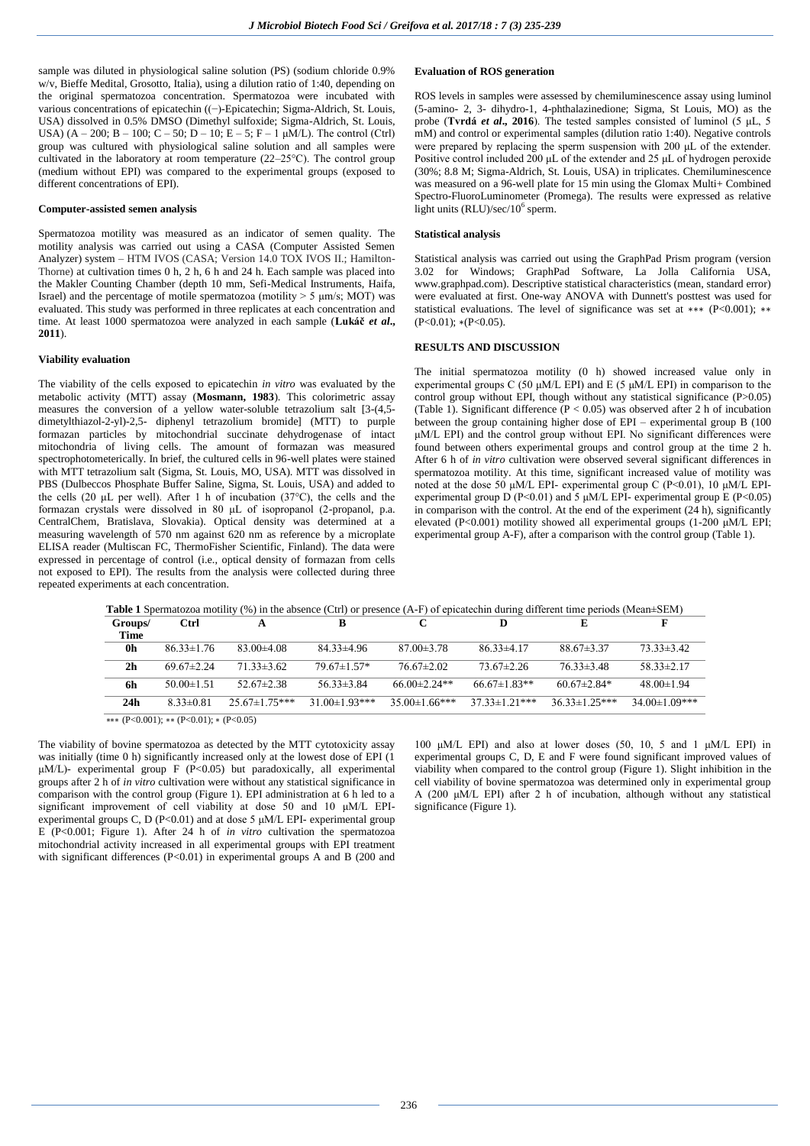sample was diluted in physiological saline solution (PS) (sodium chloride 0.9% w/v, Bieffe Medital, Grosotto, Italia), using a dilution ratio of 1:40, depending on the original spermatozoa concentration. Spermatozoa were incubated with various concentrations of epicatechin ((−)-Epicatechin; Sigma-Aldrich, St. Louis, USA) dissolved in 0.5% DMSO (Dimethyl sulfoxide; Sigma-Aldrich, St. Louis, USA)  $(A - 200; B - 100; C - 50; D - 10; E - 5; F - 1 \mu M/L)$ . The control (Ctrl) group was cultured with physiological saline solution and all samples were cultivated in the laboratory at room temperature (22–25°C). The control group (medium without EPI) was compared to the experimental groups (exposed to different concentrations of EPI).

#### **Computer-assisted semen analysis**

Spermatozoa motility was measured as an indicator of semen quality. The motility analysis was carried out using a CASA (Computer Assisted Semen Analyzer) system – HTM IVOS (CASA; Version 14.0 TOX IVOS II.; Hamilton-Thorne) at cultivation times 0 h, 2 h, 6 h and 24 h. Each sample was placed into the Makler Counting Chamber (depth 10 mm, Sefi-Medical Instruments, Haifa, Israel) and the percentage of motile spermatozoa (motility  $>$  5  $\mu$ m/s; MOT) was evaluated. This study was performed in three replicates at each concentration and time. At least 1000 spermatozoa were analyzed in each sample (**Lukáč** *et al***., 2011**).

# **Viability evaluation**

The viability of the cells exposed to epicatechin *in vitro* was evaluated by the metabolic activity (MTT) assay (**Mosmann, 1983**). This colorimetric assay measures the conversion of a yellow water-soluble tetrazolium salt [3-(4,5 dimetylthiazol-2-yl)-2,5- diphenyl tetrazolium bromide] (MTT) to purple formazan particles by mitochondrial succinate dehydrogenase of intact mitochondria of living cells. The amount of formazan was measured spectrophotometerically. In brief, the cultured cells in 96-well plates were stained with MTT tetrazolium salt (Sigma, St. Louis, MO, USA). MTT was dissolved in PBS (Dulbeccos Phosphate Buffer Saline, Sigma, St. Louis, USA) and added to the cells (20 μL per well). After 1 h of incubation (37°C), the cells and the formazan crystals were dissolved in 80 μL of isopropanol (2-propanol, p.a. CentralChem, Bratislava, Slovakia). Optical density was determined at a measuring wavelength of 570 nm against 620 nm as reference by a microplate ELISA reader (Multiscan FC, ThermoFisher Scientific, Finland). The data were expressed in percentage of control (i.e., optical density of formazan from cells not exposed to EPI). The results from the analysis were collected during three repeated experiments at each concentration.

ROS levels in samples were assessed by chemiluminescence assay using luminol (5-amino- 2, 3- dihydro-1, 4-phthalazinedione; Sigma, St Louis, MO) as the probe (**Tvrdá** *et al***., 2016**). The tested samples consisted of luminol (5 μL, 5 mM) and control or experimental samples (dilution ratio 1:40). Negative controls were prepared by replacing the sperm suspension with 200 μL of the extender. Positive control included 200 μL of the extender and 25 μL of hydrogen peroxide (30%; 8.8 M; Sigma-Aldrich, St. Louis, USA) in triplicates. Chemiluminescence was measured on a 96-well plate for 15 min using the Glomax Multi+ Combined Spectro-FluoroLuminometer (Promega). The results were expressed as relative light units (RLU)/sec/10<sup>6</sup> sperm.

# **Statistical analysis**

Statistical analysis was carried out using the GraphPad Prism program (version 3.02 for Windows; GraphPad Software, La Jolla California USA, www.graphpad.com). Descriptive statistical characteristics (mean, standard error) were evaluated at first. One-way ANOVA with Dunnett's posttest was used for statistical evaluations. The level of significance was set at ∗∗∗ (P<0.001); ∗∗  $(P<0.01)$ ; \* $(P<0.05)$ .

#### **RESULTS AND DISCUSSION**

The initial spermatozoa motility (0 h) showed increased value only in experimental groups C (50 μM/L EPI) and E (5 μM/L EPI) in comparison to the control group without EPI, though without any statistical significance (P>0.05) (Table 1). Significant difference ( $P < 0.05$ ) was observed after 2 h of incubation between the group containing higher dose of EPI – experimental group B (100 μM/L EPI) and the control group without EPI. No significant differences were found between others experimental groups and control group at the time 2 h. After 6 h of *in vitro* cultivation were observed several significant differences in spermatozoa motility. At this time, significant increased value of motility was noted at the dose 50 μM/L EPI- experimental group C (P<0.01), 10 μM/L EPIexperimental group D (P<0.01) and 5  $\mu$ M/L EPI- experimental group E (P<0.05) in comparison with the control. At the end of the experiment (24 h), significantly elevated (P<0.001) motility showed all experimental groups (1-200 μM/L EPI; experimental group A-F), after a comparison with the control group (Table 1).

| <b>Table 1</b> Spermatozoa motility (%) in the absence (Ctrl) or presence (A-F) of epicatechin during different time periods (Mean $\pm$ SEM) |  |  |  |  |  |  |  |  |  |  |  |  |  |
|-----------------------------------------------------------------------------------------------------------------------------------------------|--|--|--|--|--|--|--|--|--|--|--|--|--|
|-----------------------------------------------------------------------------------------------------------------------------------------------|--|--|--|--|--|--|--|--|--|--|--|--|--|

| Groups/<br><b>Time</b> | Ctrl             | А                    |                      |                    |                      | E                    | F                 |
|------------------------|------------------|----------------------|----------------------|--------------------|----------------------|----------------------|-------------------|
| 0h                     | $86.33 \pm 1.76$ | $83.00\pm4.08$       | $84.33\pm4.96$       | $87.00 \pm 3.78$   | $86.33\pm4.17$       | $88.67\pm3.37$       | $73.33\pm3.42$    |
| 2 <sub>h</sub>         | $69.67 \pm 2.24$ | $71.33\pm3.62$       | $79.67 \pm 1.57$ *   | $76.67 \pm 2.02$   | $73.67\pm2.26$       | $76.33\pm3.48$       | $58.33 \pm 2.17$  |
| 6h                     | $50.00 \pm 1.51$ | $52.67\pm2.38$       | $56.33\pm3.84$       | 66 00 $\pm$ 2 24** | $66.67\pm1.83**$     | $60.67\pm2.84*$      | $48.00 \pm 1.94$  |
| 24h                    | $8.33 \pm 0.81$  | $25.67 \pm 1.75$ *** | $31.00 \pm 1.93$ *** | $35.00\pm1.66***$  | $37.33 \pm 1.21$ *** | $36.33 \pm 1.25$ *** | $34.00\pm1.09***$ |
|                        |                  |                      |                      |                    |                      |                      |                   |

 $\overline{***(P<0.001); ** (P<0.01); * (P<0.05)}$ 

The viability of bovine spermatozoa as detected by the MTT cytotoxicity assay was initially (time 0 h) significantly increased only at the lowest dose of EPI (1) μM/L)- experimental group F (P<0.05) but paradoxically, all experimental groups after 2 h of *in vitro* cultivation were without any statistical significance in comparison with the control group (Figure 1). EPI administration at 6 h led to a significant improvement of cell viability at dose 50 and 10 μM/L EPIexperimental groups C, D (P<0.01) and at dose 5  $\mu$ M/L EPI- experimental group E (P<0.001; Figure 1). After 24 h of *in vitro* cultivation the spermatozoa mitochondrial activity increased in all experimental groups with EPI treatment with significant differences  $(P<0.01)$  in experimental groups A and B (200 and

100 μM/L EPI) and also at lower doses (50, 10, 5 and 1 μM/L EPI) in experimental groups C, D, E and F were found significant improved values of viability when compared to the control group (Figure 1). Slight inhibition in the cell viability of bovine spermatozoa was determined only in experimental group A (200 μM/L EPI) after 2 h of incubation, although without any statistical significance (Figure 1).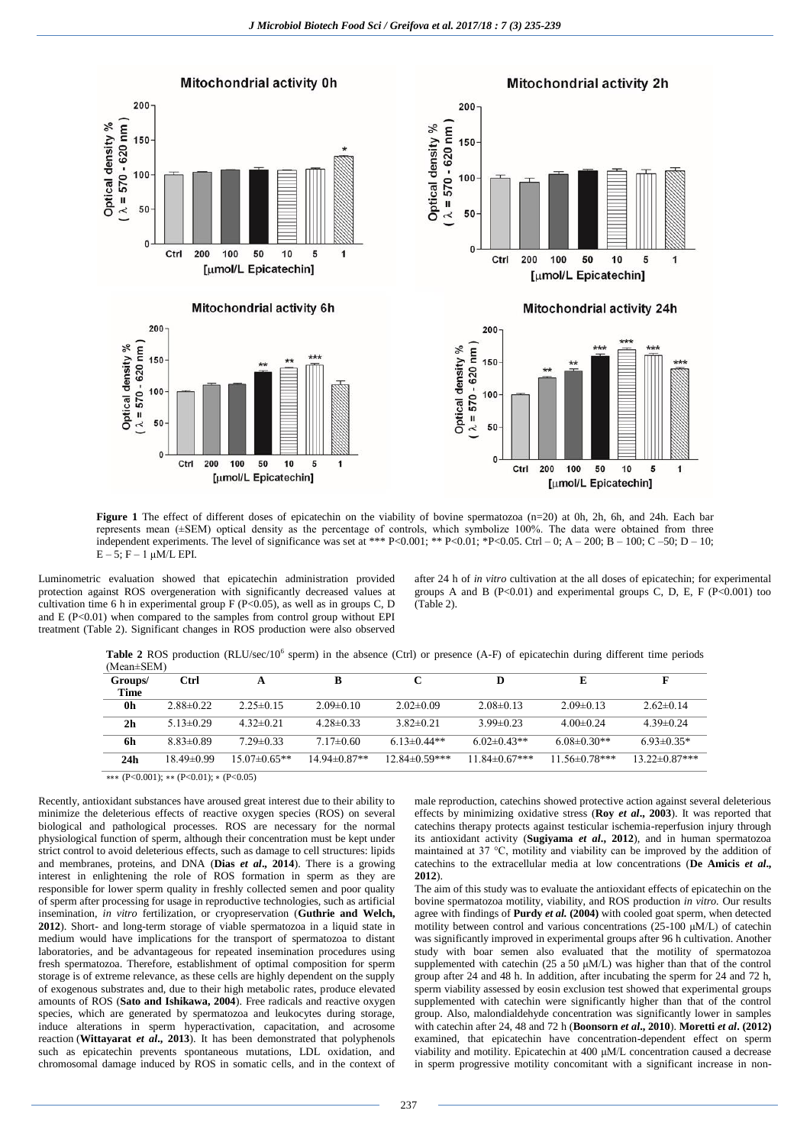

**Figure** 1 The effect of different doses of epicatechin on the viability of bovine spermatozoa (n=20) at 0h, 2h, 6h, and 24h. Each bar represents mean (±SEM) optical density as the percentage of controls, which symbolize 100%. The data were obtained from three independent experiments. The level of significance was set at \*\*\* P<0.001; \*\* P<0.01; \*P<0.05. Ctrl – 0; A – 200; B – 100; C –50; D – 10;  $E - 5$ ; F – 1  $\mu M/L$  EPI.

Luminometric evaluation showed that epicatechin administration provided protection against ROS overgeneration with significantly decreased values at cultivation time 6 h in experimental group  $F(P<0.05)$ , as well as in groups C, D and  $E(P<0.01)$  when compared to the samples from control group without EPI treatment (Table 2). Significant changes in ROS production were also observed after 24 h of *in vitro* cultivation at the all doses of epicatechin; for experimental groups A and B (P<0.01) and experimental groups C, D, E, F (P<0.001) too (Table 2).

Table 2 ROS production (RLU/sec/10<sup>6</sup> sperm) in the absence (Ctrl) or presence (A-F) of epicatechin during different time periods

| $(Mean \pm SEM)$ |                 |                  |                   |                     |                      |                      |                      |
|------------------|-----------------|------------------|-------------------|---------------------|----------------------|----------------------|----------------------|
| Groups/          | <b>Ctrl</b>     | A                | в                 |                     | D                    | E                    | F                    |
| <b>Time</b>      |                 |                  |                   |                     |                      |                      |                      |
| 0 <sub>h</sub>   | $2.88\pm0.22$   | $2.25 \pm 0.15$  | $2.09\pm0.10$     | $2.02\pm0.09$       | $2.08\pm0.13$        | $2.09 \pm 0.13$      | $2.62\pm0.14$        |
| 2 <sub>h</sub>   | $5.13 \pm 0.29$ | $4.32 \pm 0.21$  | $428\pm0.33$      | $3.82 \pm 0.21$     | 3 99 $\pm$ 0 23      | $4.00 \pm 0.24$      | $4.39\pm0.24$        |
| 6h               | $8.83\pm0.89$   | $729 \pm 0.33$   | $7.17\pm0.60$     | $6.13 \pm 0.44**$   | $6.02\pm0.43**$      | $6.08\pm0.30**$      | $693\pm0.35*$        |
| 24 <sub>h</sub>  | $18.49\pm0.99$  | $15.07\pm0.65**$ | $14.94\pm 0.87**$ | $12.84\pm 0.59$ *** | $11.84 \pm 0.67$ *** | $11.56 \pm 0.78$ *** | $13.22 \pm 0.87$ *** |
|                  |                 |                  |                   |                     |                      |                      |                      |

∗∗∗ (P<0.001); ∗∗ (P<0.01); ∗ (P<0.05)

Recently, antioxidant substances have aroused great interest due to their ability to minimize the deleterious effects of reactive oxygen species (ROS) on several biological and pathological processes. ROS are necessary for the normal physiological function of sperm, although their concentration must be kept under strict control to avoid deleterious effects, such as damage to cell structures: lipids and membranes, proteins, and DNA (**Dias** *et al***., 2014**). There is a growing interest in enlightening the role of ROS formation in sperm as they are responsible for lower sperm quality in freshly collected semen and poor quality of sperm after processing for usage in reproductive technologies, such as artificial insemination, *in vitro* fertilization, or cryopreservation (**Guthrie and Welch, 2012**). Short- and long-term storage of viable spermatozoa in a liquid state in medium would have implications for the transport of spermatozoa to distant laboratories, and be advantageous for repeated insemination procedures using fresh spermatozoa. Therefore, establishment of optimal composition for sperm storage is of extreme relevance, as these cells are highly dependent on the supply of exogenous substrates and, due to their high metabolic rates, produce elevated amounts of ROS (**Sato and Ishikawa, 2004**). Free radicals and reactive oxygen species, which are generated by spermatozoa and leukocytes during storage, induce alterations in sperm hyperactivation, capacitation, and acrosome reaction (**Wittayarat** *et al***., 2013**). It has been demonstrated that polyphenols such as epicatechin prevents spontaneous mutations, LDL oxidation, and chromosomal damage induced by ROS in somatic cells, and in the context of male reproduction, catechins showed protective action against several deleterious effects by minimizing oxidative stress (**Roy** *et al***., 2003**). It was reported that catechins therapy protects against testicular ischemia-reperfusion injury through its antioxidant activity (**Sugiyama** *et al***., 2012**), and in human spermatozoa maintained at 37 °C, motility and viability can be improved by the addition of catechins to the extracellular media at low concentrations (**De Amicis** *et al***., 2012**).

The aim of this study was to evaluate the antioxidant effects of epicatechin on the bovine spermatozoa motility, viability, and ROS production *in vitro.* Our results agree with findings of **Purdy** *et al.* **(2004)** with cooled goat sperm, when detected motility between control and various concentrations (25-100 μM/L) of catechin was significantly improved in experimental groups after 96 h cultivation. Another study with boar semen also evaluated that the motility of spermatozoa supplemented with catechin (25 a 50 μM/L) was higher than that of the control group after 24 and 48 h. In addition, after incubating the sperm for 24 and 72 h, sperm viability assessed by eosin exclusion test showed that experimental groups supplemented with catechin were significantly higher than that of the control group. Also, malondialdehyde concentration was significantly lower in samples with catechin after 24, 48 and 72 h (**Boonsorn** *et al***., 2010**). **Moretti** *et al***. (2012)** examined, that epicatechin have concentration-dependent effect on sperm viability and motility. Epicatechin at 400 μM/L concentration caused a decrease in sperm progressive motility concomitant with a significant increase in non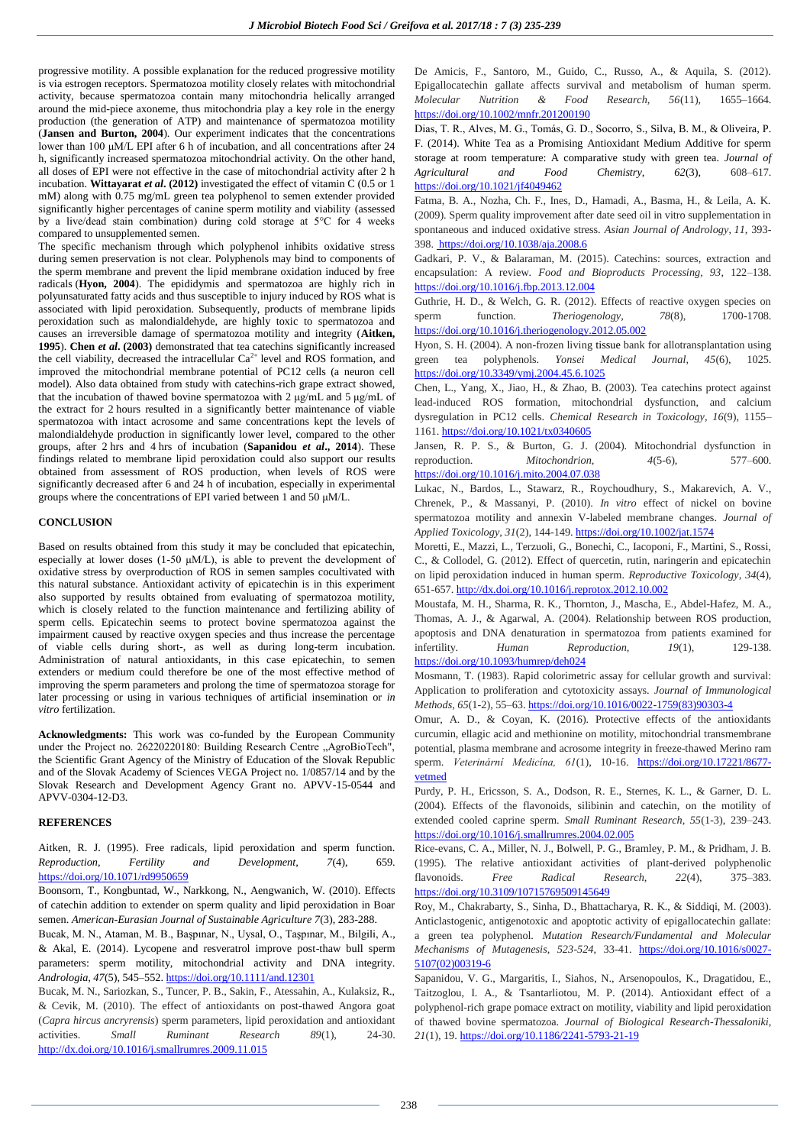progressive motility. A possible explanation for the reduced progressive motility is via estrogen receptors. Spermatozoa motility closely relates with mitochondrial activity, because spermatozoa contain many mitochondria helically arranged around the mid-piece axoneme, thus mitochondria play a key role in the energy production (the generation of ATP) and maintenance of spermatozoa motility (**Jansen and Burton, 2004**). Our experiment indicates that the concentrations lower than 100 μM/L EPI after 6 h of incubation, and all concentrations after 24 h, significantly increased spermatozoa mitochondrial activity. On the other hand, all doses of EPI were not effective in the case of mitochondrial activity after 2 h incubation. **Wittayarat** *et al***. (2012)** investigated the effect of vitamin C (0.5 or 1 mM) along with 0.75 mg/mL green tea polyphenol to semen extender provided significantly higher percentages of canine sperm motility and viability (assessed by a live/dead stain combination) during cold storage at 5°C for 4 weeks compared to unsupplemented semen.

The specific mechanism through which polyphenol inhibits oxidative stress during semen preservation is not clear. Polyphenols may bind to components of the sperm membrane and prevent the lipid membrane oxidation induced by free radicals (**Hyon, 2004**). The epididymis and spermatozoa are highly rich in polyunsaturated fatty acids and thus susceptible to injury induced by ROS what is associated with lipid peroxidation. Subsequently, products of membrane lipids peroxidation such as malondialdehyde, are highly toxic to spermatozoa and causes an irreversible damage of spermatozoa motility and integrity (**Aitken, 1995**). **Chen** *et al***. (2003)** demonstrated that tea catechins significantly increased the cell viability, decreased the intracellular  $Ca^{2+}$  level and ROS formation, and improved the mitochondrial membrane potential of PC12 cells (a neuron cell model). Also data obtained from study with catechins-rich grape extract showed, that the incubation of thawed bovine spermatozoa with 2 μg/mL and 5 μg/mL of the extract for 2 hours resulted in a significantly better maintenance of viable spermatozoa with intact acrosome and same concentrations kept the levels of malondialdehyde production in significantly lower level, compared to the other groups, after 2 hrs and 4 hrs of incubation (**Sapanidou** *et al***., 2014**). These findings related to membrane lipid peroxidation could also support our results obtained from assessment of ROS production, when levels of ROS were significantly decreased after 6 and 24 h of incubation, especially in experimental groups where the concentrations of EPI varied between 1 and 50  $\mu$ M/L.

## **CONCLUSION**

Based on results obtained from this study it may be concluded that epicatechin, especially at lower doses (1-50  $\mu$ M/L), is able to prevent the development of oxidative stress by overproduction of ROS in semen samples cocultivated with this natural substance. Antioxidant activity of epicatechin is in this experiment also supported by results obtained from evaluating of spermatozoa motility, which is closely related to the function maintenance and fertilizing ability of sperm cells. Epicatechin seems to protect bovine spermatozoa against the impairment caused by reactive oxygen species and thus increase the percentage of viable cells during short-, as well as during long-term incubation. Administration of natural antioxidants, in this case epicatechin, to semen extenders or medium could therefore be one of the most effective method of improving the sperm parameters and prolong the time of spermatozoa storage for later processing or using in various techniques of artificial insemination or *in vitro* fertilization.

**Acknowledgments:** This work was co-funded by the European Community under the Project no. 26220220180: Building Research Centre "AgroBioTech", the Scientific Grant Agency of the Ministry of Education of the Slovak Republic and of the Slovak Academy of Sciences VEGA Project no. 1/0857/14 and by the Slovak Research and Development Agency Grant no. APVV-15-0544 and APVV-0304-12-D3.

## **REFERENCES**

Aitken, R. J. (1995). Free radicals, lipid peroxidation and sperm function. *Reproduction, Fertility and Development, 7*(4), 659. <https://doi.org/10.1071/rd9950659>

Boonsorn, T., Kongbuntad, W., Narkkong, N., Aengwanich, W. (2010). Effects of catechin addition to extender on sperm quality and lipid peroxidation in Boar semen. *American-Eurasian Journal of Sustainable Agriculture 7*(3), 283-288.

Bucak, M. N., Ataman, M. B., Başpınar, N., Uysal, O., Taşpınar, M., Bilgili, A., & Akal, E. (2014). Lycopene and resveratrol improve post-thaw bull sperm parameters: sperm motility, mitochondrial activity and DNA integrity. *Andrologia, 47*(5), 545–552[. https://doi.org/10.1111/and.12301](https://doi.org/10.1111/and.12301) 

Bucak, M. N., Sariozkan, S., Tuncer, P. B., Sakin, F., Atessahin, A., Kulaksiz, R., & Cevik, M. (2010). The effect of antioxidants on post-thawed Angora goat (*Capra hircus ancryrensis*) sperm parameters, lipid peroxidation and antioxidant activities. *Small Ruminant Research 89*(1), 24-30. <http://dx.doi.org/10.1016/j.smallrumres.2009.11.015>

De Amicis, F., Santoro, M., Guido, C., Russo, A., & Aquila, S. (2012). Epigallocatechin gallate affects survival and metabolism of human sperm. *Molecular Nutrition & Food Research, 56*(11), 1655–1664. <https://doi.org/10.1002/mnfr.201200190>

Dias, T. R., Alves, M. G., Tomás, G. D., Socorro, S., Silva, B. M., & Oliveira, P. F. (2014). White Tea as a Promising Antioxidant Medium Additive for sperm storage at room temperature: A comparative study with green tea. *Journal of Agricultural and Food Chemistry, 62*(3), 608–617. <https://doi.org/10.1021/jf4049462>

Fatma, B. A., Nozha, Ch. F., Ines, D., Hamadi, A., Basma, H., & Leila, A. K. (2009). Sperm quality improvement after date seed oil in vitro supplementation in spontaneous and induced oxidative stress. *Asian Journal of Andrology*, *11*, 393- 398[. https://doi.org/10.1038/aja.2008.6](https://doi.org/10.1006/abbi.1994.1039) 

Gadkari, P. V., & Balaraman, M. (2015). Catechins: sources, extraction and encapsulation: A review. *Food and Bioproducts Processing, 93*, 122–138. <https://doi.org/10.1016/j.fbp.2013.12.004>

Guthrie, H. D., & Welch, G. R. (2012). Effects of reactive oxygen species on sperm function. *Theriogenology*, 78(8), 1700-1708. <https://doi.org/10.1016/j.theriogenology.2012.05.002>

Hyon, S. H. (2004). A non-frozen living tissue bank for allotransplantation using green tea polyphenols. *Yonsei Medical Journal, 45*(6), 1025. <https://doi.org/10.3349/ymj.2004.45.6.1025>

Chen, L., Yang, X., Jiao, H., & Zhao, B. (2003). Tea catechins protect against lead-induced ROS formation, mitochondrial dysfunction, and calcium dysregulation in PC12 cells. *Chemical Research in Toxicology, 16*(9), 1155– 1161[. https://doi.org/10.1021/tx0340605](https://doi.org/10.1021/tx0340605) 

Jansen, R. P. S., & Burton, G. J. (2004). Mitochondrial dysfunction in reproduction. *Mitochondrion, 4*(5-6), 577–600. <https://doi.org/10.1016/j.mito.2004.07.038>

Lukac, N., Bardos, L., Stawarz, R., Roychoudhury, S., Makarevich, A. V., Chrenek, P., & Massanyi, P. (2010). *In vitro* effect of nickel on bovine spermatozoa motility and annexin V-labeled membrane changes. *Journal of Applied Toxicology, 31*(2), 144-149[. https://doi.org/10.1002/jat.1574](https://doi.org/10.1002/jat.1574) 

Moretti, E., Mazzi, L., Terzuoli, G., Bonechi, C., Iacoponi, F., Martini, S., Rossi, C., & Collodel, G. (2012). Effect of quercetin, rutin, naringerin and epicatechin on lipid peroxidation induced in human sperm. *Reproductive Toxicology, 34*(4), 651-657. <http://dx.doi.org/10.1016/j.reprotox.2012.10.002>

Moustafa, M. H., Sharma, R. K., Thornton, J., Mascha, E., Abdel-Hafez, M. A., Thomas, A. J., & Agarwal, A. (2004). Relationship between ROS production, apoptosis and DNA denaturation in spermatozoa from patients examined for infertility. *Human Reproduction, 19*(1), 129-138. <https://doi.org/10.1093/humrep/deh024>

Mosmann, T. (1983). Rapid colorimetric assay for cellular growth and survival: Application to proliferation and cytotoxicity assays. *Journal of Immunological Methods, 65*(1-2), 55–63. [https://doi.org/10.1016/0022-1759\(83\)90303-4](https://doi.org/10.1016/0022-1759%2883%2990303-4)

Omur, A. D., & Coyan, K. (2016). Protective effects of the antioxidants curcumin, ellagic acid and methionine on motility, mitochondrial transmembrane potential, plasma membrane and acrosome integrity in freeze-thawed Merino ram sperm. *Veterinární Medicína, 61*(1), 10-16. [https://doi.org/10.17221/8677](https://doi.org/10.17221/8677-vetmed) [vetmed](https://doi.org/10.17221/8677-vetmed) 

Purdy, P. H., Ericsson, S. A., Dodson, R. E., Sternes, K. L., & Garner, D. L. (2004). Effects of the flavonoids, silibinin and catechin, on the motility of extended cooled caprine sperm. *Small Ruminant Research, 55*(1-3), 239–243. <https://doi.org/10.1016/j.smallrumres.2004.02.005>

Rice-evans, C. A., Miller, N. J., Bolwell, P. G., Bramley, P. M., & Pridham, J. B. (1995). The relative antioxidant activities of plant-derived polyphenolic flavonoids. *Free Radical Research, 22*(4), 375–383. <https://doi.org/10.3109/10715769509145649>

Roy, M., Chakrabarty, S., Sinha, D., Bhattacharya, R. K., & Siddiqi, M. (2003). Anticlastogenic, antigenotoxic and apoptotic activity of epigallocatechin gallate: a green tea polyphenol. *Mutation Research/Fundamental and Molecular Mechanisms of Mutagenesis, 523-524*, 33-41. [https://doi.org/10.1016/s0027-](https://doi.org/10.1016/s0027-5107%2802%2900319-6) [5107\(02\)00319-6](https://doi.org/10.1016/s0027-5107%2802%2900319-6) 

Sapanidou, V. G., Margaritis, I., Siahos, N., Arsenopoulos, K., Dragatidou, E., Taitzoglou, I. A., & Tsantarliotou, M. P. (2014). Antioxidant effect of a polyphenol-rich grape pomace extract on motility, viability and lipid peroxidation of thawed bovine spermatozoa. *Journal of Biological Research-Thessaloniki, 21*(1), 19[. https://doi.org/10.1186/2241-5793-21-19](https://doi.org/10.1186/2241-5793-21-19)